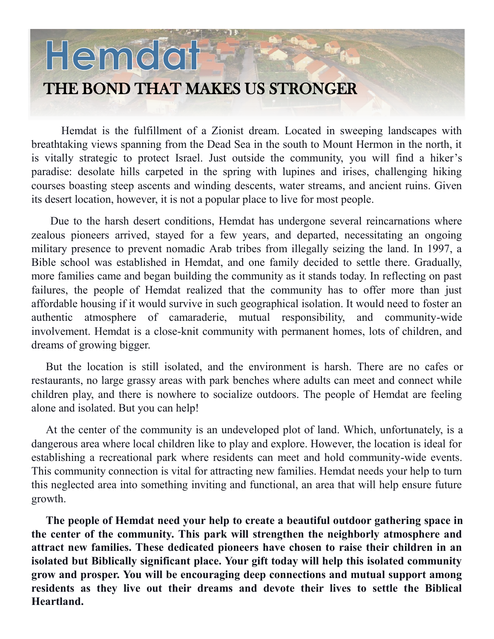## Hemdat THE BOND THAT MAKES US STRONGER

Hemdat is the fulfillment of a Zionist dream. Located in sweeping landscapes with breathtaking views spanning from the Dead Sea in the south to Mount Hermon in the north, it is vitally strategic to protect Israel. Just outside the community, you will find a hiker's paradise: desolate hills carpeted in the spring with lupines and irises, challenging hiking courses boasting steep ascents and winding descents, water streams, and ancient ruins. Given its desert location, however, it is not a popular place to live for most people.

Due to the harsh desert conditions, Hemdat has undergone several reincarnations where zealous pioneers arrived, stayed for a few years, and departed, necessitating an ongoing military presence to prevent nomadic Arab tribes from illegally seizing the land. In 1997, a Bible school was established in Hemdat, and one family decided to settle there. Gradually, more families came and began building the community as it stands today. In reflecting on past failures, the people of Hemdat realized that the community has to offer more than just affordable housing if it would survive in such geographical isolation. It would need to foster an authentic atmosphere of camaraderie, mutual responsibility, and community-wide involvement. Hemdat is a close-knit community with permanent homes, lots of children, and dreams of growing bigger.

But the location is still isolated, and the environment is harsh. There are no cafes or restaurants, no large grassy areas with park benches where adults can meet and connect while children play, and there is nowhere to socialize outdoors. The people of Hemdat are feeling alone and isolated. But you can help!

At the center of the community is an undeveloped plot of land. Which, unfortunately, is a dangerous area where local children like to play and explore. However, the location is ideal for establishing a recreational park where residents can meet and hold community-wide events. This community connection is vital for attracting new families. Hemdat needs your help to turn this neglected area into something inviting and functional, an area that will help ensure future growth.

**The people of Hemdat need your help to create a beautiful outdoor gathering space in the center of the community. This park will strengthen the neighborly atmosphere and attract new families. These dedicated pioneers have chosen to raise their children in an isolated but Biblically significant place. Your gift today will help this isolated community grow and prosper. You will be encouraging deep connections and mutual support among residents as they live out their dreams and devote their lives to settle the Biblical Heartland.**